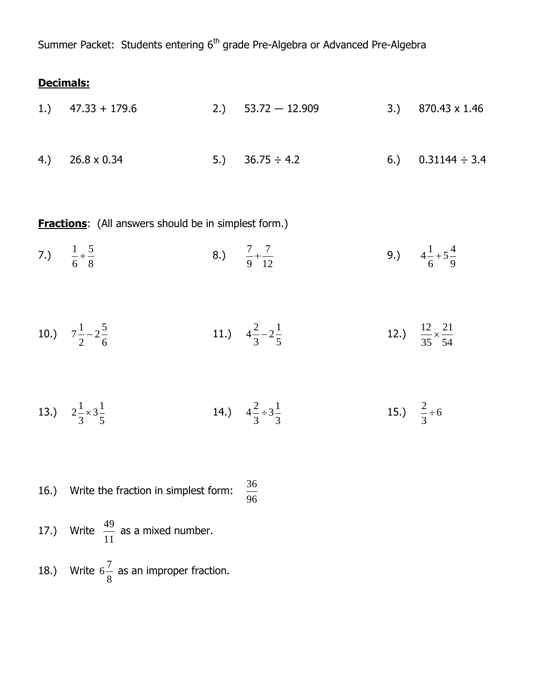Summer Packet: Students entering 6<sup>th</sup> grade Pre-Algebra or Advanced Pre-Algebra

# **Decimals:**

| 1.) $47.33 + 179.6$    | 2.) $53.72 - 12.909$ | 3.) $870.43 \times 1.46$ |
|------------------------|----------------------|--------------------------|
| 4.) $26.8 \times 0.34$ | 5.) $36.75 \div 4.2$ | 6.) $0.31144 \div 3.4$   |

**Fractions**: (All answers should be in simplest form.)

- 7.) 8 5 6  $\frac{1}{1}$ 8.) 12 7 9  $\frac{7}{1}$ 9.) 9  $5\frac{4}{9}$ 6  $4\frac{1}{4}$
- 10.) 6  $2\frac{5}{7}$ 2  $7\frac{1}{2} - 2\frac{5}{2}$  11.) 5  $2\frac{1}{2}$ 3  $4\frac{2}{3}-2\frac{1}{2}$  12.) 54 21 35  $\frac{12}{12}$  ×
- 13.) 5  $3\frac{1}{2}$ 3  $2\frac{1}{2}\times$ 14.) 3  $3\frac{1}{2}$ 3  $4\frac{2}{7}$  ÷ 15.)  $\frac{2}{3} \div 6$ 3  $\frac{2}{1}$
- 16.) Write the fraction in simplest form: 96 36
- 17.) Write 11  $\frac{49}{11}$  as a mixed number.
- 18.) Write 8  $6\frac{7}{6}$  as an improper fraction.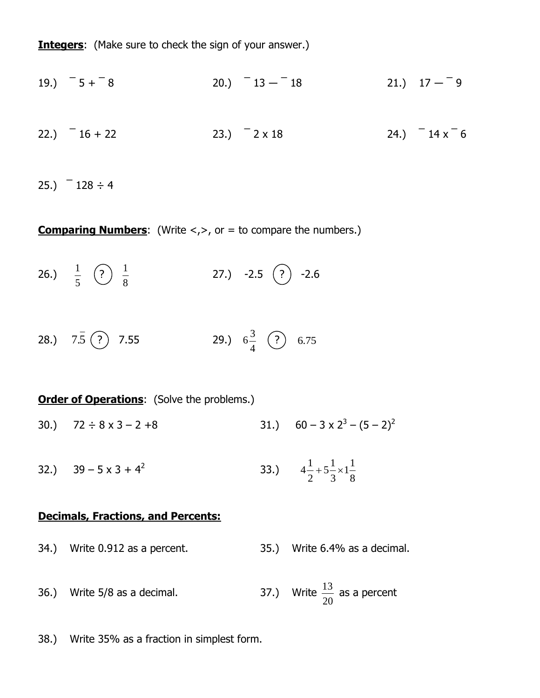**Integers:** (Make sure to check the sign of your answer.)

19.) 
$$
-5 + -8
$$
  
20.)  $-13 - -18$   
21.)  $17 - -9$   
22.)  $-16 + 22$   
23.)  $-2 \times 18$   
24.)  $-14 \times -6$ 

25.)  $-128 \div 4$ 

**Comparing Numbers:** (Write <,>, or = to compare the numbers.)

26.) 5  $\frac{1}{2}$   $\left($  ? 8 1 27.)  $-2.5$   $(?)$   $-2.6$ 

28.) 7.5 (?) 7.55 29.) 4  $6\frac{3}{4}$  (?) 6.75

## **Order of Operations:** (Solve the problems.)

- 30.)  $72 \div 8 \times 3 2 + 8$  $- (5 - 2)^2$
- 32.)  $39 5 \times 3 + 4^2$  33.) 8  $1\frac{1}{2}$ 3  $5\frac{1}{2}$ 2  $4\frac{1}{2} + 5\frac{1}{2} \times$

#### **Decimals, Fractions, and Percents:**

- 34.) Write 0.912 as a percent. 35.) Write 6.4% as a decimal.
- 36.) Write  $5/8$  as a decimal. 20  $\frac{13}{12}$  as a percent

38.) Write 35% as a fraction in simplest form.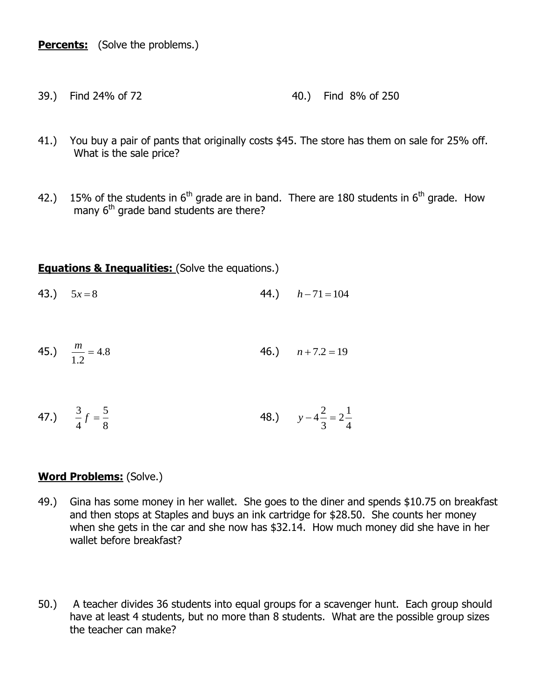**Percents:** (Solve the problems.)

- 39.) Find 24% of 72 40.) Find 8% of 250
- 41.) You buy a pair of pants that originally costs \$45. The store has them on sale for 25% off. What is the sale price?
- 42.) 15% of the students in  $6<sup>th</sup>$  grade are in band. There are 180 students in  $6<sup>th</sup>$  grade. How many 6<sup>th</sup> grade band students are there?

# **Equations & Inequalities:** (Solve the equations.)

- 43.)  $5x=8$  $h - 71 = 104$
- 45.)  $\frac{m}{1.5} = 4.8$ 1.2  $\frac{m}{\sigma}$  = 46.)  $n + 7.2 = 19$
- 47.) 8 5 4  $\frac{3}{f} =$ 48.) 4  $2^{\frac{1}{2}}$ 3  $y-4\frac{2}{x}$  =

## **Word Problems:** (Solve.)

- 49.) Gina has some money in her wallet. She goes to the diner and spends \$10.75 on breakfast and then stops at Staples and buys an ink cartridge for \$28.50. She counts her money when she gets in the car and she now has \$32.14. How much money did she have in her wallet before breakfast?
- 50.) A teacher divides 36 students into equal groups for a scavenger hunt. Each group should have at least 4 students, but no more than 8 students. What are the possible group sizes the teacher can make?